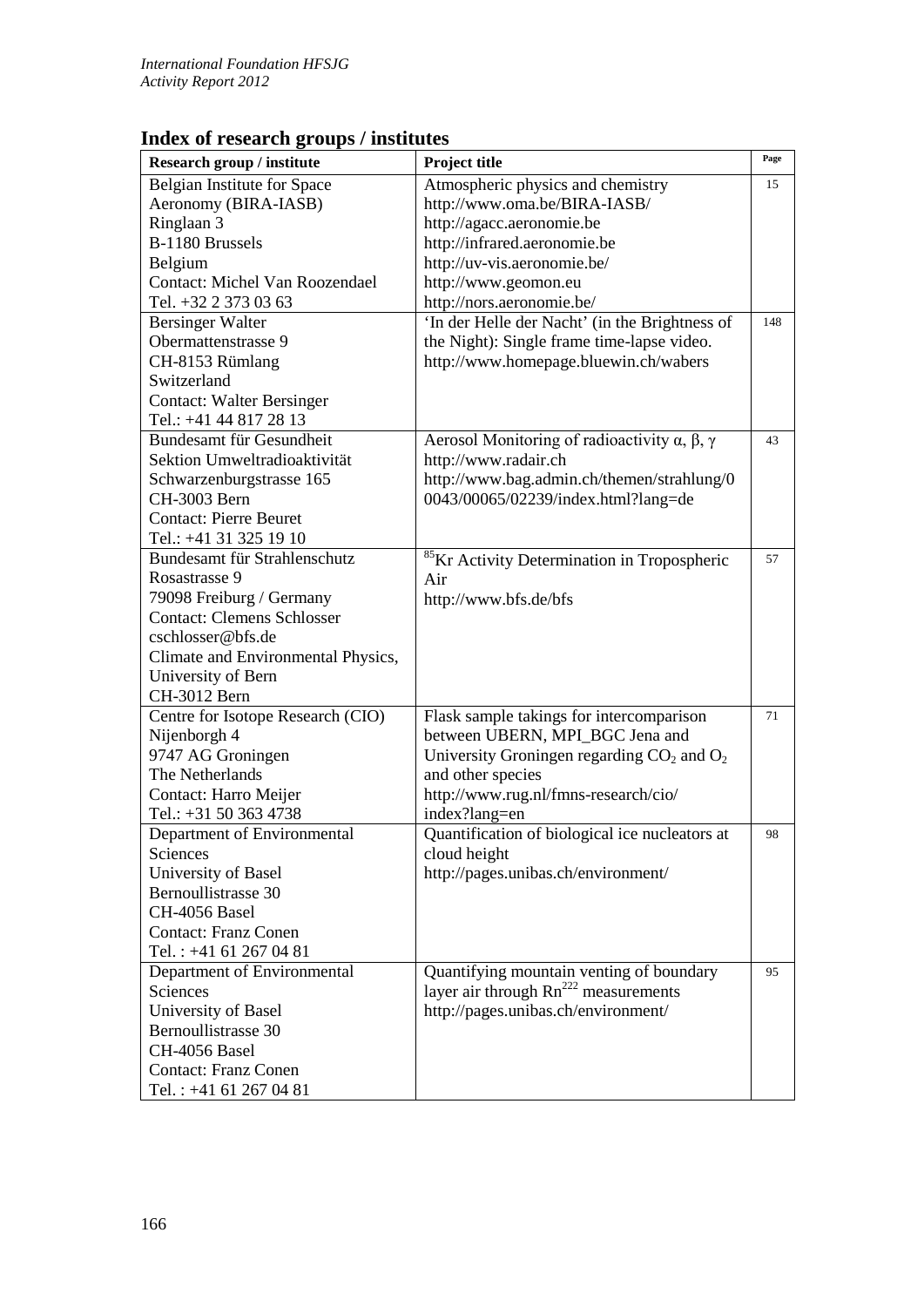## **Index of research groups / institutes**

| Research group / institute         | Project title                                                     | Page |
|------------------------------------|-------------------------------------------------------------------|------|
| Belgian Institute for Space        | Atmospheric physics and chemistry                                 | 15   |
| Aeronomy (BIRA-IASB)               | http://www.oma.be/BIRA-IASB/                                      |      |
| Ringlaan 3                         | http://agacc.aeronomie.be                                         |      |
| B-1180 Brussels                    | http://infrared.aeronomie.be                                      |      |
| Belgium                            | http://uv-vis.aeronomie.be/                                       |      |
| Contact: Michel Van Roozendael     | http://www.geomon.eu                                              |      |
| Tel. +32 2 373 03 63               | http://nors.aeronomie.be/                                         |      |
| <b>Bersinger Walter</b>            | 'In der Helle der Nacht' (in the Brightness of                    | 148  |
| Obermattenstrasse 9                | the Night): Single frame time-lapse video.                        |      |
| CH-8153 Rümlang                    | http://www.homepage.bluewin.ch/wabers                             |      |
| Switzerland                        |                                                                   |      |
| <b>Contact: Walter Bersinger</b>   |                                                                   |      |
| Tel.: +41 44 817 28 13             |                                                                   |      |
| Bundesamt für Gesundheit           | Aerosol Monitoring of radioactivity $\alpha$ , $\beta$ , $\gamma$ | 43   |
| Sektion Umweltradioaktivität       | http://www.radair.ch                                              |      |
| Schwarzenburgstrasse 165           | http://www.bag.admin.ch/themen/strahlung/0                        |      |
| CH-3003 Bern                       | 0043/00065/02239/index.html?lang=de                               |      |
| <b>Contact: Pierre Beuret</b>      |                                                                   |      |
| Tel.: +41 31 325 19 10             |                                                                   |      |
| Bundesamt für Strahlenschutz       | <sup>85</sup> Kr Activity Determination in Tropospheric           | 57   |
| Rosastrasse 9                      | Air                                                               |      |
| 79098 Freiburg / Germany           | http://www.bfs.de/bfs                                             |      |
| <b>Contact: Clemens Schlosser</b>  |                                                                   |      |
| cschlosser@bfs.de                  |                                                                   |      |
| Climate and Environmental Physics, |                                                                   |      |
| University of Bern                 |                                                                   |      |
| CH-3012 Bern                       |                                                                   |      |
| Centre for Isotope Research (CIO)  | Flask sample takings for intercomparison                          | 71   |
| Nijenborgh 4                       | between UBERN, MPI_BGC Jena and                                   |      |
| 9747 AG Groningen                  | University Groningen regarding $CO2$ and $O2$                     |      |
| The Netherlands                    | and other species                                                 |      |
| Contact: Harro Meijer              | http://www.rug.nl/fmns-research/cio/                              |      |
| Tel.: +31 50 363 4738              | index?lang=en                                                     |      |
| Department of Environmental        | Quantification of biological ice nucleators at                    | 98   |
| Sciences                           | cloud height                                                      |      |
| University of Basel                | http://pages.unibas.ch/environment/                               |      |
| Bernoullistrasse 30                |                                                                   |      |
| CH-4056 Basel                      |                                                                   |      |
| <b>Contact: Franz Conen</b>        |                                                                   |      |
| Tel.: +41 61 267 04 81             |                                                                   |      |
| Department of Environmental        | Quantifying mountain venting of boundary                          | 95   |
| Sciences                           | layer air through Rn <sup>222</sup> measurements                  |      |
| University of Basel                | http://pages.unibas.ch/environment/                               |      |
| Bernoullistrasse 30                |                                                                   |      |
| CH-4056 Basel                      |                                                                   |      |
| <b>Contact: Franz Conen</b>        |                                                                   |      |
| Tel.: +41 61 267 04 81             |                                                                   |      |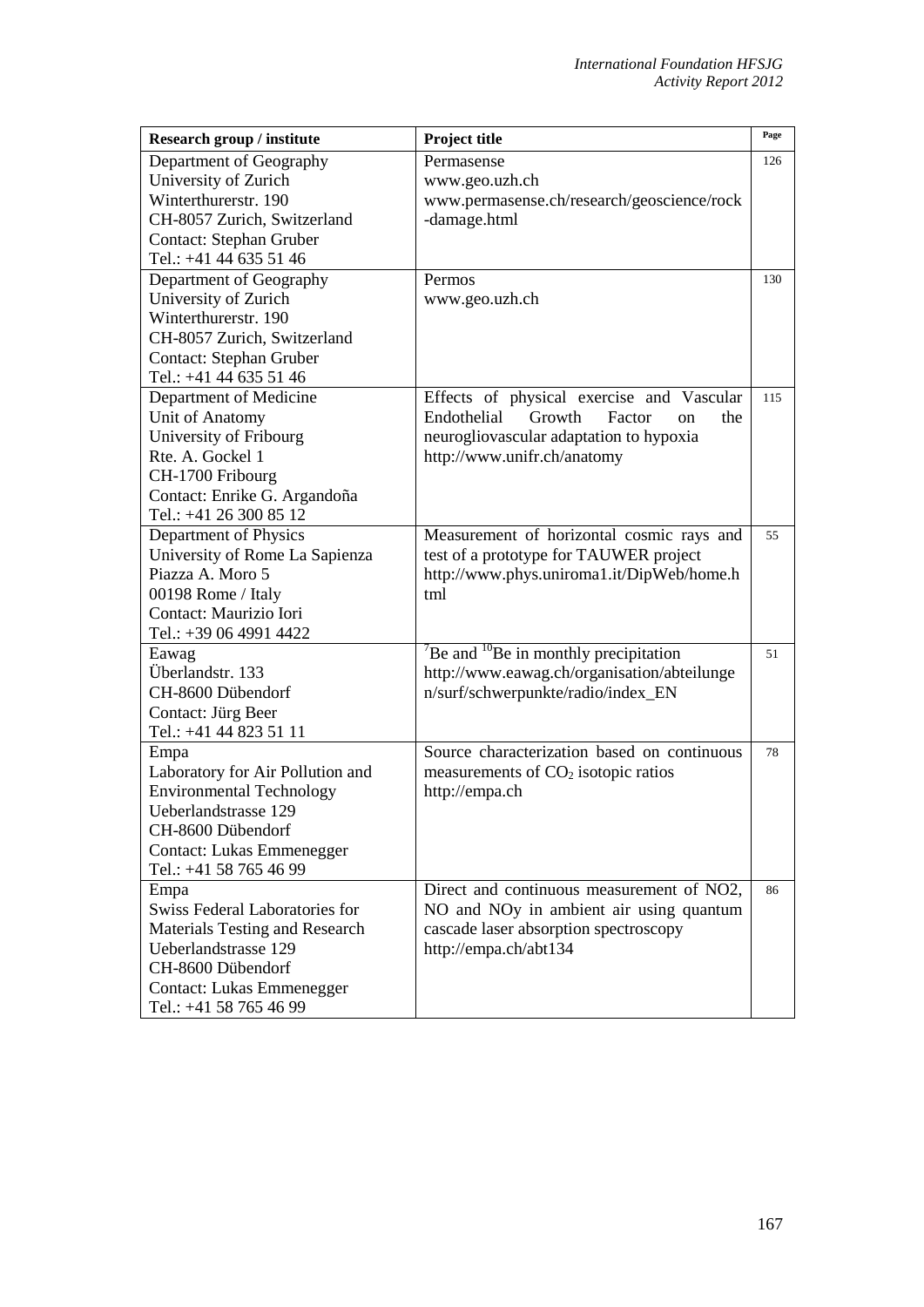| Research group / institute            | Project title                                                     | Page |
|---------------------------------------|-------------------------------------------------------------------|------|
| Department of Geography               | Permasense                                                        | 126  |
| University of Zurich                  | www.geo.uzh.ch                                                    |      |
| Winterthurerstr. 190                  | www.permasense.ch/research/geoscience/rock                        |      |
| CH-8057 Zurich, Switzerland           | -damage.html                                                      |      |
| Contact: Stephan Gruber               |                                                                   |      |
| Tel.: +41 44 635 51 46                |                                                                   |      |
| Department of Geography               | Permos                                                            | 130  |
| University of Zurich                  | www.geo.uzh.ch                                                    |      |
| Winterthurerstr. 190                  |                                                                   |      |
| CH-8057 Zurich, Switzerland           |                                                                   |      |
| Contact: Stephan Gruber               |                                                                   |      |
| Tel.: +41 44 635 51 46                |                                                                   |      |
| Department of Medicine                | Effects of physical exercise and Vascular                         | 115  |
| Unit of Anatomy                       | Endothelial<br>Growth<br>Factor<br>the<br><sub>on</sub>           |      |
| University of Fribourg                | neurogliovascular adaptation to hypoxia                           |      |
| Rte. A. Gockel 1                      | http://www.unifr.ch/anatomy                                       |      |
| CH-1700 Fribourg                      |                                                                   |      |
| Contact: Enrike G. Argandoña          |                                                                   |      |
| Tel.: +41 26 300 85 12                |                                                                   |      |
| Department of Physics                 | Measurement of horizontal cosmic rays and                         | 55   |
| University of Rome La Sapienza        | test of a prototype for TAUWER project                            |      |
| Piazza A. Moro 5                      | http://www.phys.uniroma1.it/DipWeb/home.h                         |      |
| 00198 Rome / Italy                    | tml                                                               |      |
| Contact: Maurizio Iori                |                                                                   |      |
| Tel.: +39 06 4991 4422                |                                                                   |      |
| Eawag                                 | $\mathrm{^{7}Be}$ and $\mathrm{^{10}Be}$ in monthly precipitation | 51   |
| Überlandstr. 133                      | http://www.eawag.ch/organisation/abteilunge                       |      |
| CH-8600 Dübendorf                     | n/surf/schwerpunkte/radio/index_EN                                |      |
| Contact: Jürg Beer                    |                                                                   |      |
| Tel.: +41 44 823 51 11                |                                                                   |      |
| Empa                                  | Source characterization based on continuous                       | 78   |
| Laboratory for Air Pollution and      | measurements of $CO2$ isotopic ratios                             |      |
| <b>Environmental Technology</b>       | http://empa.ch                                                    |      |
| Ueberlandstrasse 129                  |                                                                   |      |
| CH-8600 Dübendorf                     |                                                                   |      |
| <b>Contact: Lukas Emmenegger</b>      |                                                                   |      |
| Tel.: +41 58 765 46 99                |                                                                   |      |
| Empa                                  | Direct and continuous measurement of NO2,                         | 86   |
| Swiss Federal Laboratories for        | NO and NOy in ambient air using quantum                           |      |
| <b>Materials Testing and Research</b> | cascade laser absorption spectroscopy                             |      |
| Ueberlandstrasse 129                  | http://empa.ch/abt134                                             |      |
| CH-8600 Dübendorf                     |                                                                   |      |
| <b>Contact: Lukas Emmenegger</b>      |                                                                   |      |
| Tel.: +41 58 765 46 99                |                                                                   |      |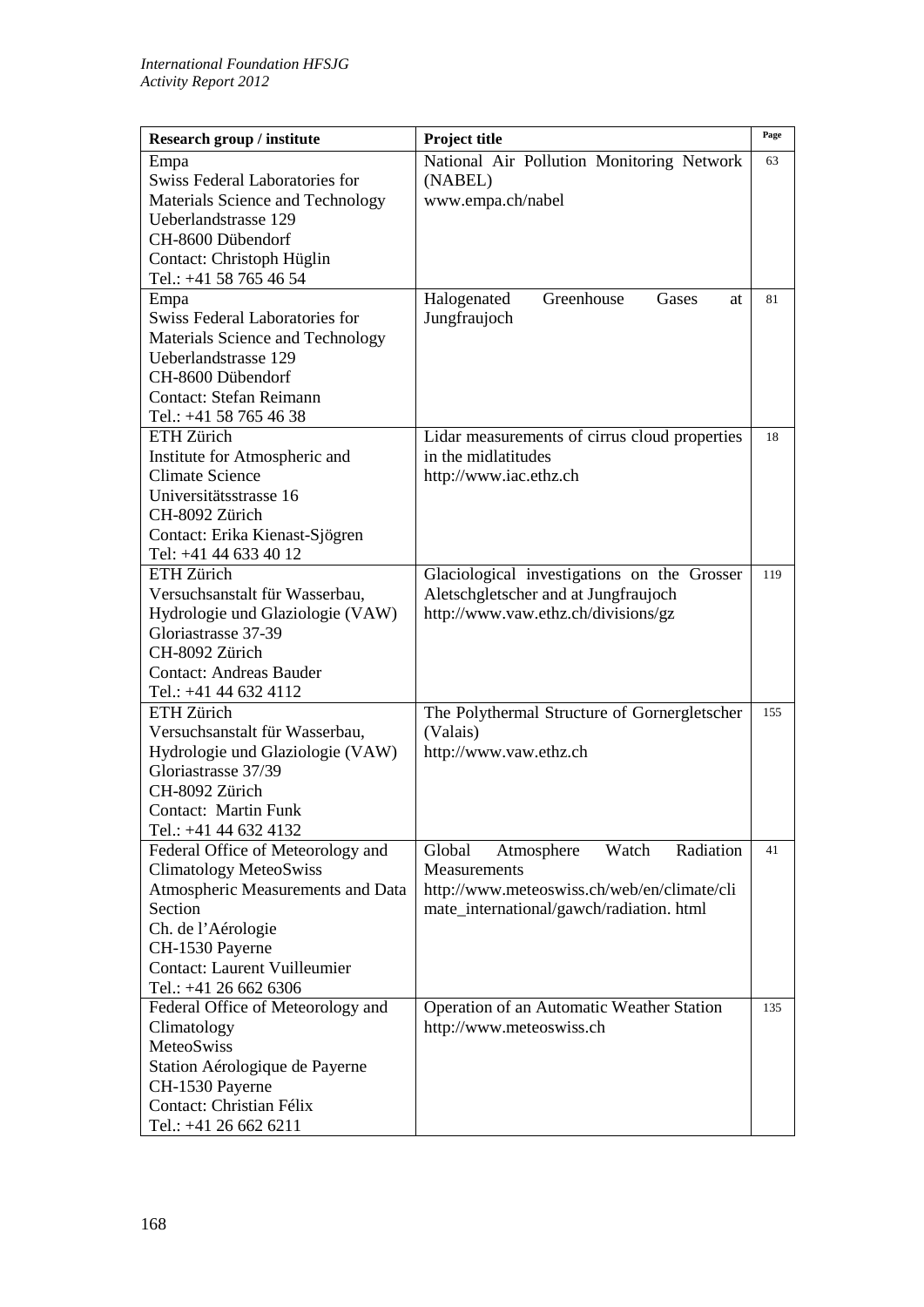| Research group / institute                              | Project title                                 | Page |
|---------------------------------------------------------|-----------------------------------------------|------|
| Empa                                                    | National Air Pollution Monitoring Network     | 63   |
| <b>Swiss Federal Laboratories for</b>                   | (NABEL)                                       |      |
| Materials Science and Technology                        | www.empa.ch/nabel                             |      |
| Ueberlandstrasse 129                                    |                                               |      |
| CH-8600 Dübendorf                                       |                                               |      |
| Contact: Christoph Hüglin                               |                                               |      |
| Tel.: +41 58 765 46 54                                  |                                               |      |
| Empa                                                    | Greenhouse<br>Halogenated<br>Gases<br>at      | 81   |
| <b>Swiss Federal Laboratories for</b>                   | Jungfraujoch                                  |      |
| Materials Science and Technology                        |                                               |      |
| Ueberlandstrasse 129                                    |                                               |      |
| CH-8600 Dübendorf                                       |                                               |      |
| Contact: Stefan Reimann                                 |                                               |      |
| Tel.: +41 58 765 46 38                                  |                                               |      |
| ETH Zürich                                              | Lidar measurements of cirrus cloud properties | 18   |
| Institute for Atmospheric and                           | in the midlatitudes                           |      |
| <b>Climate Science</b>                                  | http://www.iac.ethz.ch                        |      |
| Universitätsstrasse 16                                  |                                               |      |
| CH-8092 Zürich                                          |                                               |      |
| Contact: Erika Kienast-Sjögren                          |                                               |      |
| Tel: +41 44 633 40 12<br>ETH Zürich                     |                                               |      |
|                                                         | Glaciological investigations on the Grosser   | 119  |
| Versuchsanstalt für Wasserbau,                          | Aletschgletscher and at Jungfraujoch          |      |
| Hydrologie und Glaziologie (VAW)<br>Gloriastrasse 37-39 | http://www.vaw.ethz.ch/divisions/gz           |      |
| CH-8092 Zürich                                          |                                               |      |
| <b>Contact: Andreas Bauder</b>                          |                                               |      |
| Tel.: +41 44 632 4112                                   |                                               |      |
| <b>ETH</b> Zürich                                       | The Polythermal Structure of Gornergletscher  | 155  |
| Versuchsanstalt für Wasserbau.                          | (Valais)                                      |      |
| Hydrologie und Glaziologie (VAW)                        | http://www.vaw.ethz.ch                        |      |
| Gloriastrasse 37/39                                     |                                               |      |
| CH-8092 Zürich                                          |                                               |      |
| Contact: Martin Funk                                    |                                               |      |
| Tel.: +41 44 632 4132                                   |                                               |      |
| Federal Office of Meteorology and                       | Watch<br>Radiation<br>Global<br>Atmosphere    | 41   |
| <b>Climatology MeteoSwiss</b>                           | Measurements                                  |      |
| Atmospheric Measurements and Data                       | http://www.meteoswiss.ch/web/en/climate/cli   |      |
| Section                                                 | mate_international/gawch/radiation. html      |      |
| Ch. de l'Aérologie                                      |                                               |      |
| CH-1530 Payerne                                         |                                               |      |
| <b>Contact: Laurent Vuilleumier</b>                     |                                               |      |
| Tel.: +41 26 662 6306                                   |                                               |      |
| Federal Office of Meteorology and                       | Operation of an Automatic Weather Station     | 135  |
| Climatology                                             | http://www.meteoswiss.ch                      |      |
| MeteoSwiss                                              |                                               |      |
| Station Aérologique de Payerne                          |                                               |      |
| CH-1530 Payerne                                         |                                               |      |
| Contact: Christian Félix                                |                                               |      |
| Tel.: +41 26 662 6211                                   |                                               |      |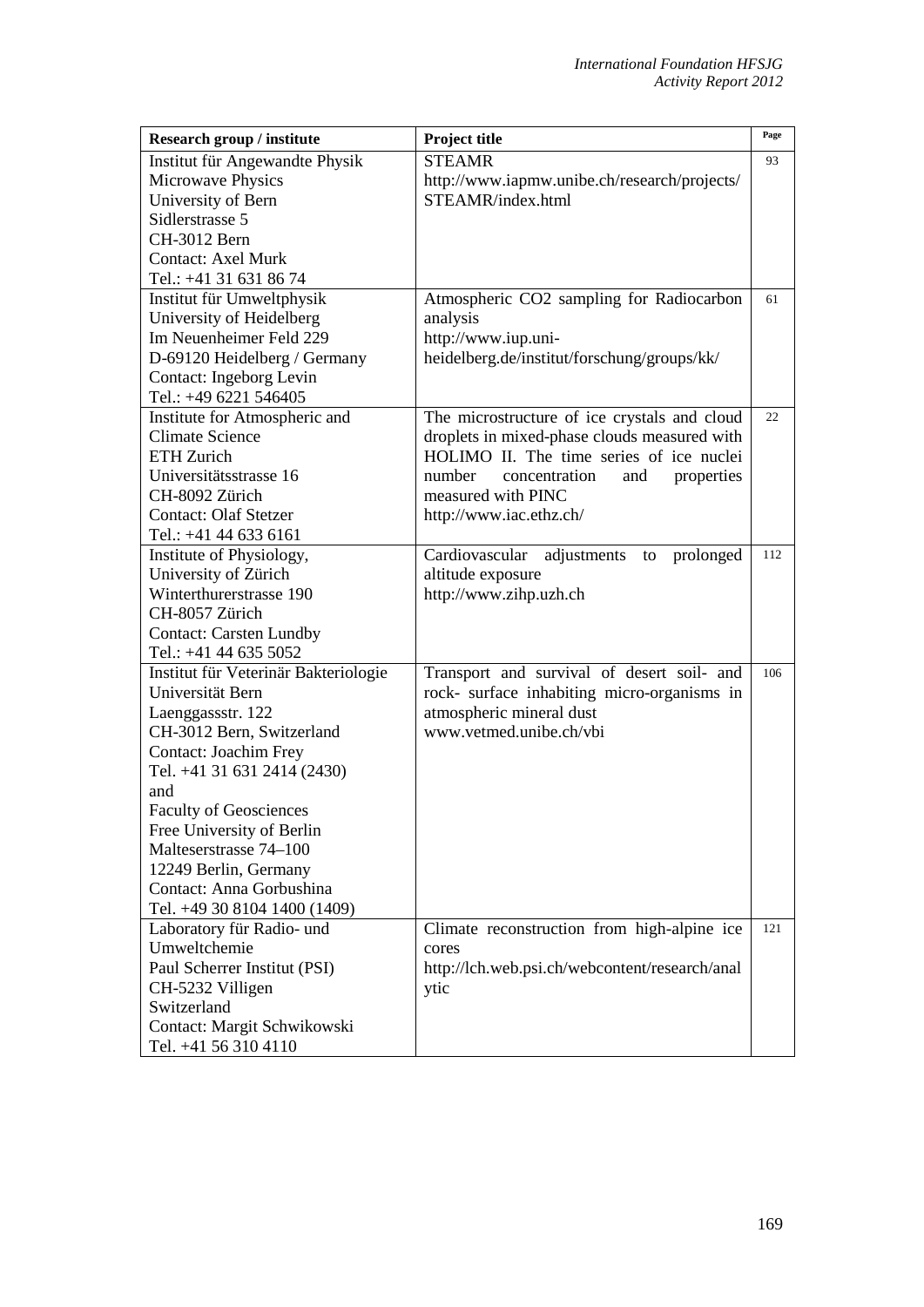| Research group / institute           | Project title                                    | Page |
|--------------------------------------|--------------------------------------------------|------|
| Institut für Angewandte Physik       | <b>STEAMR</b>                                    | 93   |
| Microwave Physics                    | http://www.iapmw.unibe.ch/research/projects/     |      |
| University of Bern                   | STEAMR/index.html                                |      |
| Sidlerstrasse 5                      |                                                  |      |
| CH-3012 Bern                         |                                                  |      |
| <b>Contact: Axel Murk</b>            |                                                  |      |
| Tel.: +41 31 631 86 74               |                                                  |      |
| Institut für Umweltphysik            | Atmospheric CO2 sampling for Radiocarbon         | 61   |
| University of Heidelberg             | analysis                                         |      |
| Im Neuenheimer Feld 229              | http://www.iup.uni-                              |      |
| D-69120 Heidelberg / Germany         | heidelberg.de/institut/forschung/groups/kk/      |      |
| Contact: Ingeborg Levin              |                                                  |      |
| Tel.: +49 6221 546405                |                                                  |      |
| Institute for Atmospheric and        | The microstructure of ice crystals and cloud     | 22   |
| <b>Climate Science</b>               | droplets in mixed-phase clouds measured with     |      |
| <b>ETH Zurich</b>                    | HOLIMO II. The time series of ice nuclei         |      |
| Universitätsstrasse 16               | concentration<br>number<br>and<br>properties     |      |
| CH-8092 Zürich                       | measured with PINC                               |      |
| <b>Contact: Olaf Stetzer</b>         | http://www.iac.ethz.ch/                          |      |
| Tel.: +41 44 633 6161                |                                                  |      |
| Institute of Physiology,             | adjustments<br>Cardiovascular<br>prolonged<br>to | 112  |
| University of Zürich                 | altitude exposure                                |      |
| Winterthurerstrasse 190              | http://www.zihp.uzh.ch                           |      |
| CH-8057 Zürich                       |                                                  |      |
| <b>Contact: Carsten Lundby</b>       |                                                  |      |
| Tel.: +41 44 635 5052                |                                                  |      |
| Institut für Veterinär Bakteriologie | Transport and survival of desert soil- and       | 106  |
| Universität Bern                     | rock- surface inhabiting micro-organisms in      |      |
| Laenggassstr. 122                    | atmospheric mineral dust                         |      |
| CH-3012 Bern, Switzerland            | www.vetmed.unibe.ch/vbi                          |      |
| Contact: Joachim Frey                |                                                  |      |
| Tel. +41 31 631 2414 (2430)          |                                                  |      |
| and                                  |                                                  |      |
| <b>Faculty of Geosciences</b>        |                                                  |      |
| Free University of Berlin            |                                                  |      |
| Malteserstrasse 74-100               |                                                  |      |
| 12249 Berlin, Germany                |                                                  |      |
| Contact: Anna Gorbushina             |                                                  |      |
| Tel. +49 30 8104 1400 (1409)         |                                                  |      |
| Laboratory für Radio- und            | Climate reconstruction from high-alpine ice      | 121  |
| Umweltchemie                         | cores                                            |      |
| Paul Scherrer Institut (PSI)         | http://lch.web.psi.ch/webcontent/research/anal   |      |
| CH-5232 Villigen                     | ytic                                             |      |
| Switzerland                          |                                                  |      |
| Contact: Margit Schwikowski          |                                                  |      |
| Tel. +41 56 310 4110                 |                                                  |      |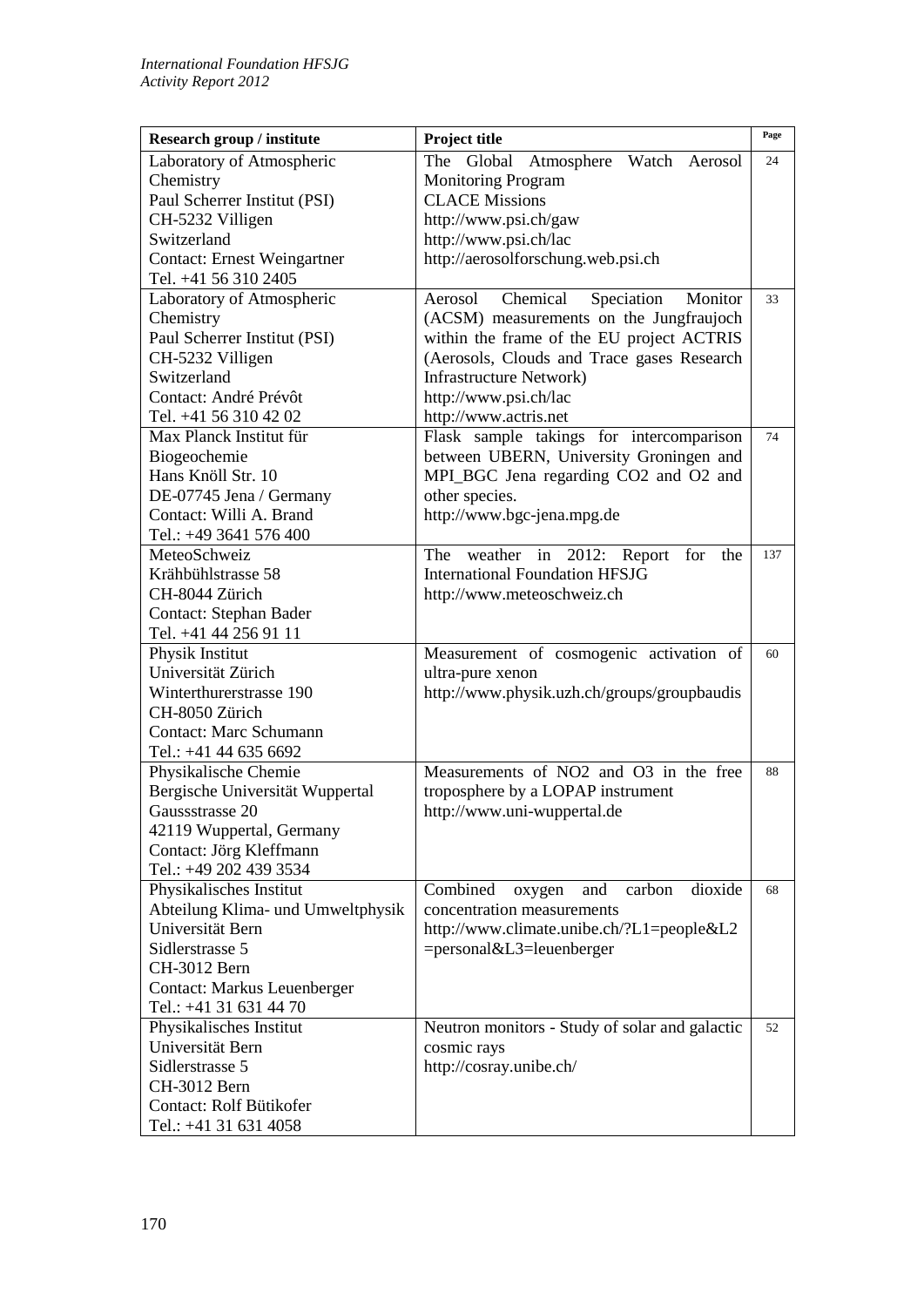| Research group / institute         | Project title                                  | Page |
|------------------------------------|------------------------------------------------|------|
| Laboratory of Atmospheric          | The Global<br>Atmosphere Watch Aerosol         | 24   |
| Chemistry                          | <b>Monitoring Program</b>                      |      |
| Paul Scherrer Institut (PSI)       | <b>CLACE Missions</b>                          |      |
| CH-5232 Villigen                   | http://www.psi.ch/gaw                          |      |
| Switzerland                        | http://www.psi.ch/lac                          |      |
| <b>Contact: Ernest Weingartner</b> | http://aerosolforschung.web.psi.ch             |      |
| Tel. +41 56 310 2405               |                                                |      |
| Laboratory of Atmospheric          | Chemical<br>Speciation<br>Monitor<br>Aerosol   | 33   |
| Chemistry                          | (ACSM) measurements on the Jungfraujoch        |      |
| Paul Scherrer Institut (PSI)       | within the frame of the EU project ACTRIS      |      |
| CH-5232 Villigen                   | (Aerosols, Clouds and Trace gases Research     |      |
| Switzerland                        | <b>Infrastructure Network)</b>                 |      |
| Contact: André Prévôt              | http://www.psi.ch/lac                          |      |
| Tel. +41 56 310 42 02              | http://www.actris.net                          |      |
| Max Planck Institut für            | Flask sample takings for intercomparison       | 74   |
| Biogeochemie                       | between UBERN, University Groningen and        |      |
| Hans Knöll Str. 10                 | MPI_BGC Jena regarding CO2 and O2 and          |      |
| DE-07745 Jena / Germany            | other species.                                 |      |
| Contact: Willi A. Brand            | http://www.bgc-jena.mpg.de                     |      |
| Tel.: +49 3641 576 400             |                                                |      |
| MeteoSchweiz                       | The<br>weather in 2012: Report<br>for<br>the   | 137  |
| Krähbühlstrasse 58                 | <b>International Foundation HFSJG</b>          |      |
| CH-8044 Zürich                     | http://www.meteoschweiz.ch                     |      |
| <b>Contact: Stephan Bader</b>      |                                                |      |
| Tel. +41 44 256 91 11              |                                                |      |
| Physik Institut                    | Measurement of cosmogenic activation of        | 60   |
| Universität Zürich                 | ultra-pure xenon                               |      |
| Winterthurerstrasse 190            | http://www.physik.uzh.ch/groups/groupbaudis    |      |
| CH-8050 Zürich                     |                                                |      |
| <b>Contact: Marc Schumann</b>      |                                                |      |
| Tel.: +41 44 635 6692              |                                                |      |
| Physikalische Chemie               | Measurements of NO2 and O3 in the free         | 88   |
| Bergische Universität Wuppertal    | troposphere by a LOPAP instrument              |      |
| Gaussstrasse 20                    | http://www.uni-wuppertal.de                    |      |
| 42119 Wuppertal, Germany           |                                                |      |
| Contact: Jörg Kleffmann            |                                                |      |
| Tel.: +49 202 439 3534             |                                                |      |
| Physikalisches Institut            | Combined<br>carbon<br>dioxide<br>and<br>oxygen | 68   |
| Abteilung Klima- und Umweltphysik  | concentration measurements                     |      |
| Universität Bern                   | http://www.climate.unibe.ch/?L1=people&L2      |      |
| Sidlerstrasse 5                    | =personal&L3=leuenberger                       |      |
| CH-3012 Bern                       |                                                |      |
| <b>Contact: Markus Leuenberger</b> |                                                |      |
| Tel.: +41 31 631 44 70             |                                                |      |
| Physikalisches Institut            | Neutron monitors - Study of solar and galactic | 52   |
| Universität Bern                   | cosmic rays                                    |      |
| Sidlerstrasse 5                    | http://cosray.unibe.ch/                        |      |
| CH-3012 Bern                       |                                                |      |
| Contact: Rolf Bütikofer            |                                                |      |
| Tel.: +41 31 631 4058              |                                                |      |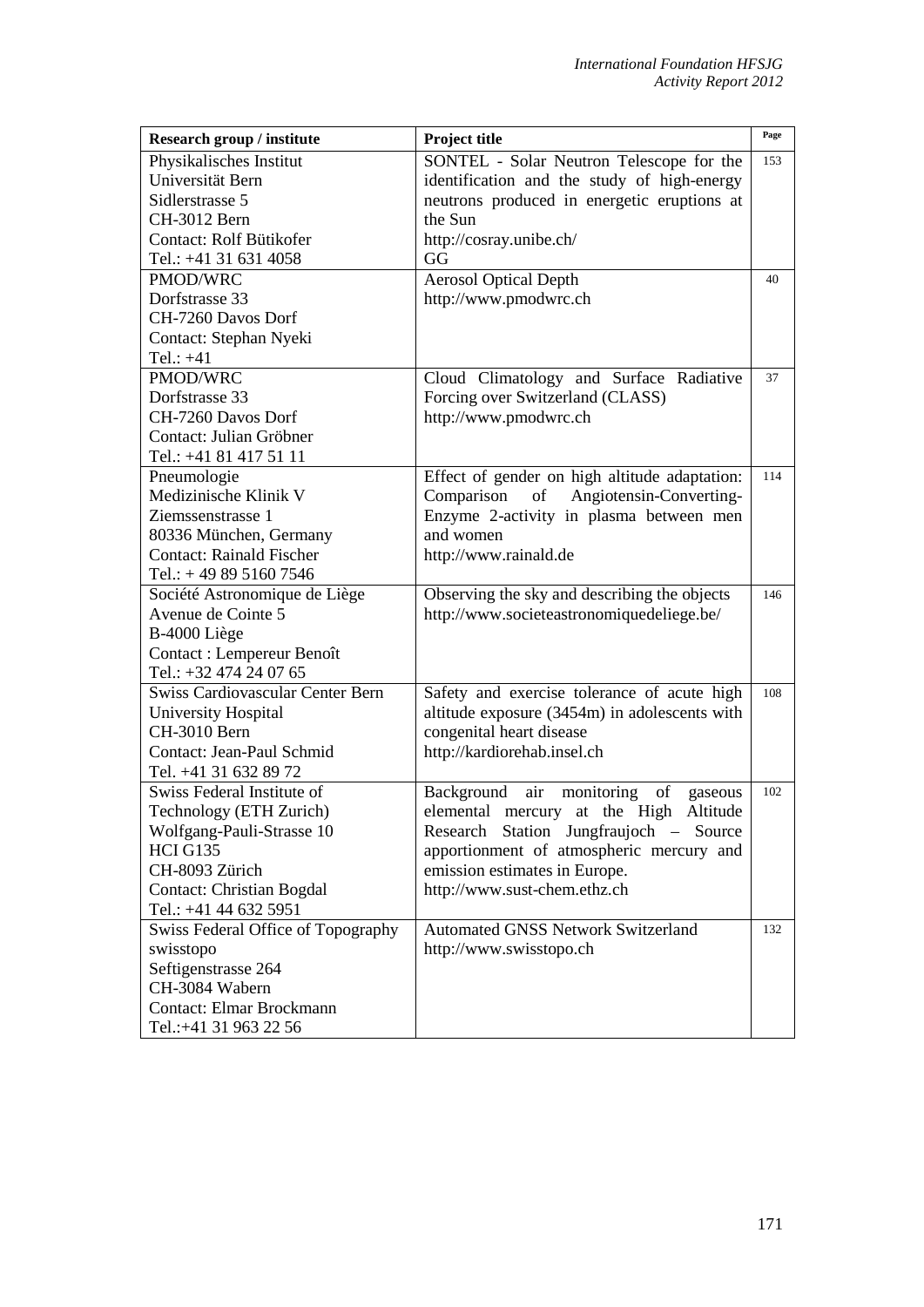| Research group / institute              | Project title                                    | Page |
|-----------------------------------------|--------------------------------------------------|------|
| Physikalisches Institut                 | SONTEL - Solar Neutron Telescope for the         | 153  |
| Universität Bern                        | identification and the study of high-energy      |      |
| Sidlerstrasse 5                         | neutrons produced in energetic eruptions at      |      |
| CH-3012 Bern                            | the Sun                                          |      |
| Contact: Rolf Bütikofer                 | http://cosray.unibe.ch/                          |      |
| Tel.: +41 31 631 4058                   | GG                                               |      |
| PMOD/WRC                                | <b>Aerosol Optical Depth</b>                     | 40   |
| Dorfstrasse 33                          | http://www.pmodwrc.ch                            |      |
| CH-7260 Davos Dorf                      |                                                  |      |
| Contact: Stephan Nyeki                  |                                                  |      |
| Tel.: $+41$                             |                                                  |      |
| <b>PMOD/WRC</b>                         | Cloud Climatology and Surface Radiative          | 37   |
| Dorfstrasse 33                          | Forcing over Switzerland (CLASS)                 |      |
| CH-7260 Davos Dorf                      | http://www.pmodwrc.ch                            |      |
| Contact: Julian Gröbner                 |                                                  |      |
| Tel.: +41 81 417 51 11                  |                                                  |      |
| Pneumologie                             | Effect of gender on high altitude adaptation:    | 114  |
| Medizinische Klinik V                   | of<br>Angiotensin-Converting-<br>Comparison      |      |
| Ziemssenstrasse 1                       | Enzyme 2-activity in plasma between men          |      |
| 80336 München, Germany                  | and women                                        |      |
| <b>Contact: Rainald Fischer</b>         | http://www.rainald.de                            |      |
| Tel.: $+498951607546$                   |                                                  |      |
| Société Astronomique de Liège           | Observing the sky and describing the objects     | 146  |
| Avenue de Cointe 5                      | http://www.societeastronomiquedeliege.be/        |      |
| B-4000 Liège                            |                                                  |      |
| Contact : Lempereur Benoît              |                                                  |      |
| Tel.: +32 474 24 07 65                  |                                                  |      |
| <b>Swiss Cardiovascular Center Bern</b> | Safety and exercise tolerance of acute high      | 108  |
| University Hospital                     | altitude exposure (3454m) in adolescents with    |      |
| CH-3010 Bern                            | congenital heart disease                         |      |
| Contact: Jean-Paul Schmid               | http://kardiorehab.insel.ch                      |      |
| Tel. +41 31 632 89 72                   |                                                  |      |
| Swiss Federal Institute of              | Background<br>monitoring<br>air<br>of<br>gaseous | 102  |
| Technology (ETH Zurich)                 | elemental mercury at the High<br>Altitude        |      |
| Wolfgang-Pauli-Strasse 10               | Research Station Jungfraujoch - Source           |      |
| <b>HCI G135</b>                         | apportionment of atmospheric mercury and         |      |
| CH-8093 Zürich                          | emission estimates in Europe.                    |      |
| <b>Contact: Christian Bogdal</b>        | http://www.sust-chem.ethz.ch                     |      |
| Tel.: +41 44 632 5951                   |                                                  |      |
| Swiss Federal Office of Topography      | <b>Automated GNSS Network Switzerland</b>        | 132  |
| swisstopo                               | http://www.swisstopo.ch                          |      |
| Seftigenstrasse 264                     |                                                  |      |
| CH-3084 Wabern                          |                                                  |      |
| <b>Contact: Elmar Brockmann</b>         |                                                  |      |
| Tel.:+41 31 963 22 56                   |                                                  |      |